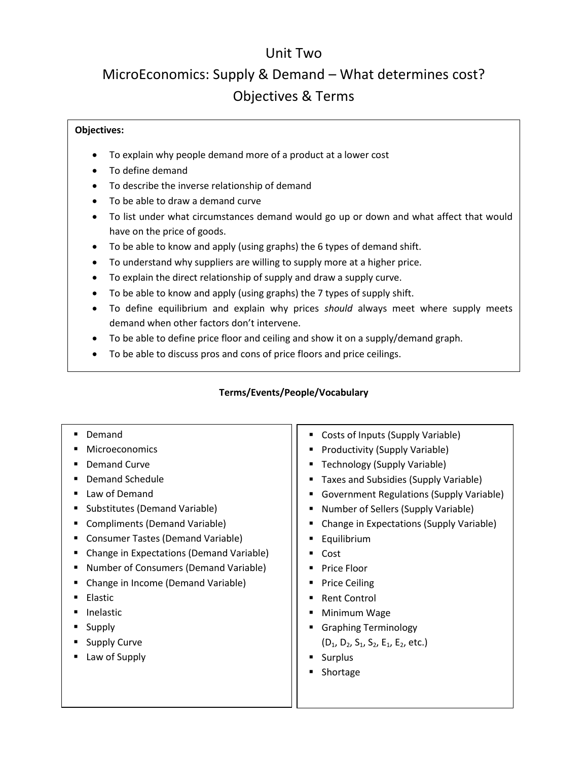## Unit Two

## MicroEconomics: Supply & Demand – What determines cost? Objectives & Terms

## **Objectives:**

- To explain why people demand more of a product at a lower cost
- To define demand
- To describe the inverse relationship of demand
- To be able to draw a demand curve
- To list under what circumstances demand would go up or down and what affect that would have on the price of goods.
- To be able to know and apply (using graphs) the 6 types of demand shift.
- To understand why suppliers are willing to supply more at a higher price.
- To explain the direct relationship of supply and draw a supply curve.
- To be able to know and apply (using graphs) the 7 types of supply shift.
- To define equilibrium and explain why prices *should* always meet where supply meets demand when other factors don't intervene.
- To be able to define price floor and ceiling and show it on a supply/demand graph.
- To be able to discuss pros and cons of price floors and price ceilings.

## **Terms/Events/People/Vocabulary**

| Demand<br><b>Microeconomics</b><br><b>Demand Curve</b><br>Demand Schedule<br>Law of Demand<br>Substitutes (Demand Variable)<br>Е<br><b>Compliments (Demand Variable)</b><br>Consumer Tastes (Demand Variable)<br>Change in Expectations (Demand Variable)<br>Number of Consumers (Demand Variable)<br>Change in Income (Demand Variable)<br>Elastic<br><b>Inelastic</b><br>Supply | Costs of Inputs (Supply Variable)<br>Productivity (Supply Variable)<br>Technology (Supply Variable)<br>Taxes and Subsidies (Supply Variable)<br><b>Government Regulations (Supply Variable)</b><br>Number of Sellers (Supply Variable)<br>Change in Expectations (Supply Variable)<br>Equilibrium<br>Cost<br>Price Floor<br><b>Price Ceiling</b><br><b>Rent Control</b><br>Minimum Wage<br><b>Graphing Terminology</b> |
|-----------------------------------------------------------------------------------------------------------------------------------------------------------------------------------------------------------------------------------------------------------------------------------------------------------------------------------------------------------------------------------|------------------------------------------------------------------------------------------------------------------------------------------------------------------------------------------------------------------------------------------------------------------------------------------------------------------------------------------------------------------------------------------------------------------------|
|                                                                                                                                                                                                                                                                                                                                                                                   |                                                                                                                                                                                                                                                                                                                                                                                                                        |
|                                                                                                                                                                                                                                                                                                                                                                                   |                                                                                                                                                                                                                                                                                                                                                                                                                        |
|                                                                                                                                                                                                                                                                                                                                                                                   |                                                                                                                                                                                                                                                                                                                                                                                                                        |
|                                                                                                                                                                                                                                                                                                                                                                                   |                                                                                                                                                                                                                                                                                                                                                                                                                        |
|                                                                                                                                                                                                                                                                                                                                                                                   |                                                                                                                                                                                                                                                                                                                                                                                                                        |
|                                                                                                                                                                                                                                                                                                                                                                                   |                                                                                                                                                                                                                                                                                                                                                                                                                        |
|                                                                                                                                                                                                                                                                                                                                                                                   |                                                                                                                                                                                                                                                                                                                                                                                                                        |
|                                                                                                                                                                                                                                                                                                                                                                                   |                                                                                                                                                                                                                                                                                                                                                                                                                        |
| <b>Supply Curve</b>                                                                                                                                                                                                                                                                                                                                                               | $(D_1, D_2, S_1, S_2, E_1, E_2, etc.)$                                                                                                                                                                                                                                                                                                                                                                                 |
| Law of Supply                                                                                                                                                                                                                                                                                                                                                                     | Surplus                                                                                                                                                                                                                                                                                                                                                                                                                |
|                                                                                                                                                                                                                                                                                                                                                                                   | Shortage                                                                                                                                                                                                                                                                                                                                                                                                               |
|                                                                                                                                                                                                                                                                                                                                                                                   |                                                                                                                                                                                                                                                                                                                                                                                                                        |
|                                                                                                                                                                                                                                                                                                                                                                                   |                                                                                                                                                                                                                                                                                                                                                                                                                        |
|                                                                                                                                                                                                                                                                                                                                                                                   |                                                                                                                                                                                                                                                                                                                                                                                                                        |